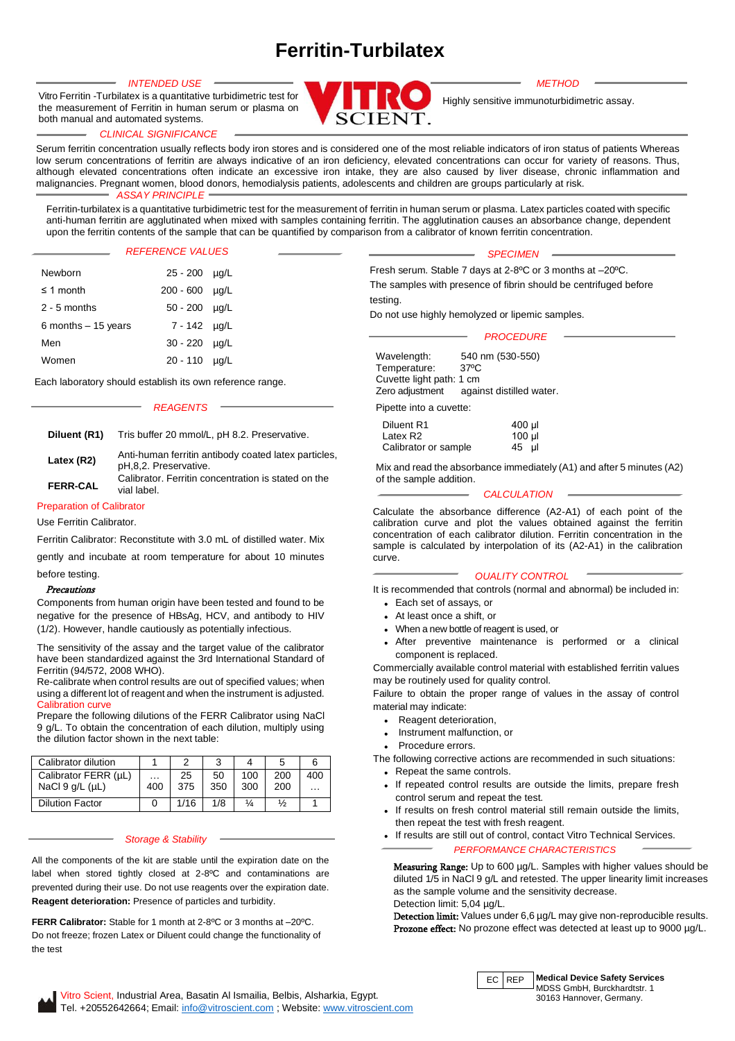# **Ferritin-Turbilatex**

both manual and automated systems. Vitro Ferritin -Turbilatex is a quantitative turbidimetric test for the measurement of Ferritin in human serum or plasma on



Highly sensitive immunoturbidimetric assay.

#### *CLINICAL SIGNIFICANCE*

Serum ferritin concentration usually reflects body iron stores and is considered one of the most reliable indicators of iron status of patients Whereas low serum concentrations of ferritin are always indicative of an iron deficiency, elevated concentrations can occur for variety of reasons. Thus, although elevated concentrations often indicate an excessive iron intake, they are also caused by liver disease, chronic inflammation and malignancies. Pregnant women, blood donors, hemodialysis patients, adolescents and children are groups particularly at risk. *ASSAY PRINCIPLE*

Ferritin-turbilatex is a quantitative turbidimetric test for the measurement of ferritin in human serum or plasma. Latex particles coated with specific anti-human ferritin are agglutinated when mixed with samples containing ferritin. The agglutination causes an absorbance change, dependent upon the ferritin contents of the sample that can be quantified by comparison from a calibrator of known ferritin concentration.

#### *REFERENCE VALUES*

| Newborn              | 25 - 200 µg/L        |           |
|----------------------|----------------------|-----------|
| $\leq$ 1 month       | 200 - 600            | $\mu q/L$ |
| $2 - 5$ months       | $50 - 200$ $\mu q/L$ |           |
| 6 months $-15$ years | 7 - 142 µg/L         |           |
| Men                  | $30 - 220$ $\mu q/L$ |           |
| Women                | $20 - 110$ $\mu$ g/L |           |

Each laboratory should establish its own reference range.

#### *REAGENTS*

**Diluent (R1)** Tris buffer 20 mmol/L, pH 8.2. Preservative.

| Latex (R2)      | Anti-human ferritin antibody coated latex particles,<br>pH,8,2. Preservative. |
|-----------------|-------------------------------------------------------------------------------|
| <b>FERR-CAL</b> | Calibrator. Ferritin concentration is stated on the<br>vial label.            |

# Preparation of Calibrator

Use Ferritin Calibrator.

Ferritin Calibrator: Reconstitute with 3.0 mL of distilled water. Mix

gently and incubate at room temperature for about 10 minutes before testing.

### Precautions

Components from human origin have been tested and found to be negative for the presence of HBsAg, HCV, and antibody to HIV (1/2). However, handle cautiously as potentially infectious.

The sensitivity of the assay and the target value of the calibrator have been standardized against the 3rd International Standard of Ferritin (94/572, 2008 WHO).

Re-calibrate when control results are out of specified values; when using a different lot of reagent and when the instrument is adjusted. Calibration curve

Prepare the following dilutions of the FERR Calibrator using NaCl 9 g/L. To obtain the concentration of each dilution, multiply using the dilution factor shown in the next table:

| Calibrator dilution     |     |      | ີ   |     |               |          |
|-------------------------|-----|------|-----|-----|---------------|----------|
| Calibrator FERR (µL)    | .   | 25   | 50  | 100 | 200           | 400      |
| NaCl $9$ q/L ( $\mu$ L) | 400 | 375  | 350 | 300 | 200           | $\cdots$ |
| <b>Dilution Factor</b>  |     | 1/16 | 1/8 | ¼   | $\frac{1}{2}$ |          |

### *Storage & Stability*

All the components of the kit are stable until the expiration date on the label when stored tightly closed at 2-8ºC and contaminations are prevented during their use. Do not use reagents over the expiration date. **Reagent deterioration:** Presence of particles and turbidity.

**FERR Calibrator:** Stable for 1 month at 2-8ºC or 3 months at –20ºC. Do not freeze; frozen Latex or Diluent could change the functionality of the test

|  | I٨ |          |  |
|--|----|----------|--|
|  |    | ,,<br>., |  |
|  |    |          |  |

Fresh serum. Stable 7 days at 2-8ºC or 3 months at –20ºC. The samples with presence of fibrin should be centrifuged before testing.

Do not use highly hemolyzed or lipemic samples.

#### *PROCEDURE*

Wavelength: 540 nm (530-550) Temperature: 37ºC Cuvette light path: 1 cm Zero adjustment against distilled water.

Pipette into a cuvette:

| Diluent R1           | 400 µl   |
|----------------------|----------|
| Latex R2             | $100$ µl |
| Calibrator or sample | 45<br>μl |

Mix and read the absorbance immediately (A1) and after 5 minutes (A2) of the sample addition.

#### *CALCULATION*

Calculate the absorbance difference (A2-A1) of each point of the calibration curve and plot the values obtained against the ferritin concentration of each calibrator dilution. Ferritin concentration in the sample is calculated by interpolation of its (A2-A1) in the calibration curve.

## *QUALITY CONTROL*

It is recommended that controls (normal and abnormal) be included in:

- Each set of assays, or
- At least once a shift, or
- When a new bottle of reagent is used, or
- After preventive maintenance is performed or a clinical component is replaced.

Commercially available control material with established ferritin values may be routinely used for quality control.

Failure to obtain the proper range of values in the assay of control material may indicate:

- Reagent deterioration.
- Instrument malfunction, or
- Procedure errors.

The following corrective actions are recommended in such situations: • Repeat the same controls.

- If repeated control results are outside the limits, prepare fresh control serum and repeat the test.
- If results on fresh control material still remain outside the limits, then repeat the test with fresh reagent.
- If results are still out of control, contact Vitro Technical Services. *PERFORMANCE CHARACTERISTICS*

Measuring Range: Up to 600 µg/L. Samples with higher values should be diluted 1/5 in NaCl 9 g/L and retested. The upper linearity limit increases as the sample volume and the sensitivity decrease. Detection limit: 5,04 µg/L.

Detection limit: Values under 6,6 µg/L may give non-reproducible results. Prozone effect: No prozone effect was detected at least up to 9000 µg/L.



EC REP **Medical Device Safety Services** MDSS GmbH, Burckhardtstr. 1 30163 Hannover, Germany.